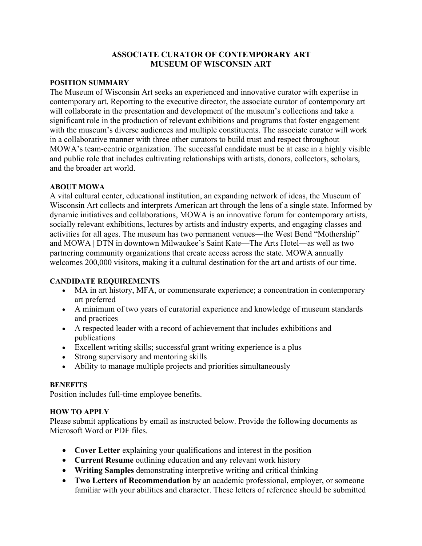## **ASSOCIATE CURATOR OF CONTEMPORARY ART MUSEUM OF WISCONSIN ART**

#### **POSITION SUMMARY**

The Museum of Wisconsin Art seeks an experienced and innovative curator with expertise in contemporary art. Reporting to the executive director, the associate curator of contemporary art will collaborate in the presentation and development of the museum's collections and take a significant role in the production of relevant exhibitions and programs that foster engagement with the museum's diverse audiences and multiple constituents. The associate curator will work in a collaborative manner with three other curators to build trust and respect throughout MOWA's team-centric organization. The successful candidate must be at ease in a highly visible and public role that includes cultivating relationships with artists, donors, collectors, scholars, and the broader art world.

#### **ABOUT MOWA**

A vital cultural center, educational institution, an expanding network of ideas, the Museum of Wisconsin Art collects and interprets American art through the lens of a single state. Informed by dynamic initiatives and collaborations, MOWA is an innovative forum for contemporary artists, socially relevant exhibitions, lectures by artists and industry experts, and engaging classes and activities for all ages. The museum has two permanent venues—the West Bend "Mothership" and MOWA | DTN in downtown Milwaukee's Saint Kate—The Arts Hotel—as well as two partnering community organizations that create access across the state. MOWA annually welcomes 200,000 visitors, making it a cultural destination for the art and artists of our time.

## **CANDIDATE REQUIREMENTS**

- MA in art history, MFA, or commensurate experience; a concentration in contemporary art preferred
- A minimum of two years of curatorial experience and knowledge of museum standards and practices
- A respected leader with a record of achievement that includes exhibitions and publications
- Excellent writing skills; successful grant writing experience is a plus
- Strong supervisory and mentoring skills
- Ability to manage multiple projects and priorities simultaneously

## **BENEFITS**

Position includes full-time employee benefits.

## **HOW TO APPLY**

Please submit applications by email as instructed below. Provide the following documents as Microsoft Word or PDF files.

- **Cover Letter** explaining your qualifications and interest in the position
- **Current Resume** outlining education and any relevant work history
- **Writing Samples** demonstrating interpretive writing and critical thinking
- **Two Letters of Recommendation** by an academic professional, employer, or someone familiar with your abilities and character. These letters of reference should be submitted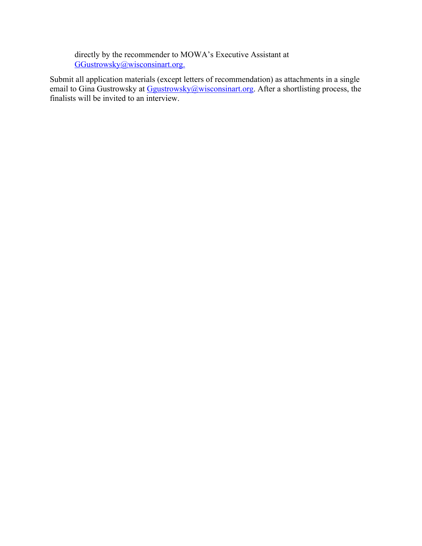directly by the recommender to MOWA's Executive Assistant at GGustrowsky@wisconsinart.org.

Submit all application materials (except letters of recommendation) as attachments in a single email to Gina Gustrowsky at Ggustrowsky@wisconsinart.org. After a shortlisting process, the finalists will be invited to an interview.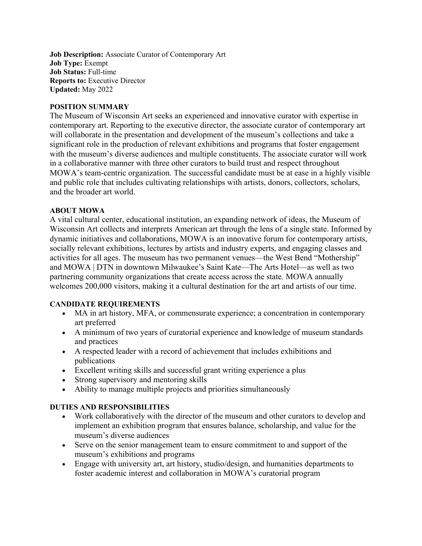**Job Description:** Associate Curator of Contemporary Art **Job Type:** Exempt **Job Status:** Full-time **Reports to:** Executive Director **Updated:** May 2022

#### **POSITION SUMMARY**

The Museum of Wisconsin Art seeks an experienced and innovative curator with expertise in contemporary art. Reporting to the executive director, the associate curator of contemporary art will collaborate in the presentation and development of the museum's collections and take a significant role in the production of relevant exhibitions and programs that foster engagement with the museum's diverse audiences and multiple constituents. The associate curator will work in a collaborative manner with three other curators to build trust and respect throughout MOWA's team-centric organization. The successful candidate must be at ease in a highly visible and public role that includes cultivating relationships with artists, donors, collectors, scholars, and the broader art world.

#### **ABOUT MOWA**

A vital cultural center, educational institution, an expanding network of ideas, the Museum of Wisconsin Art collects and interprets American art through the lens of a single state. Informed by dynamic initiatives and collaborations, MOWA is an innovative forum for contemporary artists, socially relevant exhibitions, lectures by artists and industry experts, and engaging classes and activities for all ages. The museum has two permanent venues—the West Bend "Mothership" and MOWA | DTN in downtown Milwaukee's Saint Kate—The Arts Hotel—as well as two partnering community organizations that create access across the state. MOWA annually welcomes 200,000 visitors, making it a cultural destination for the art and artists of our time.

## **CANDIDATE REQUIREMENTS**

- MA in art history, MFA, or commensurate experience; a concentration in contemporary art preferred
- A minimum of two years of curatorial experience and knowledge of museum standards and practices
- A respected leader with a record of achievement that includes exhibitions and publications
- Excellent writing skills and successful grant writing experience a plus
- Strong supervisory and mentoring skills
- Ability to manage multiple projects and priorities simultaneously

## **DUTIES AND RESPONSIBILITIES**

- Work collaboratively with the director of the museum and other curators to develop and implement an exhibition program that ensures balance, scholarship, and value for the museum's diverse audiences
- Serve on the senior management team to ensure commitment to and support of the museum's exhibitions and programs
- Engage with university art, art history, studio/design, and humanities departments to foster academic interest and collaboration in MOWA's curatorial program